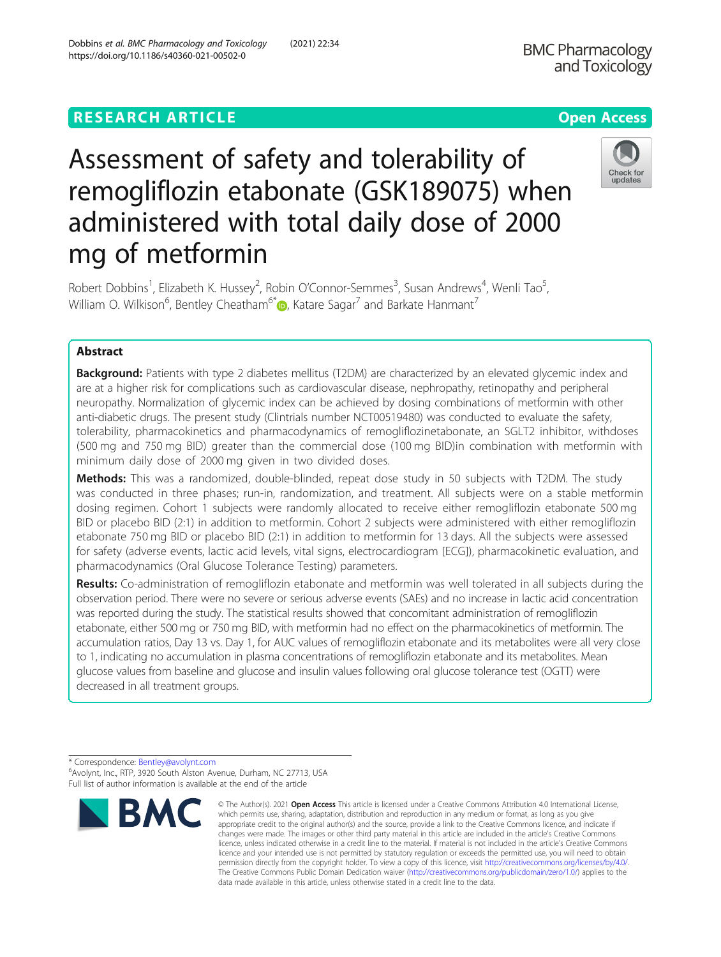**BMC Pharmacology** 

# Assessment of safety and tolerability of remogliflozin etabonate (GSK189075) when administered with total daily dose of 2000 mg of metformin



Robert Dobbins<sup>1</sup>, Elizabeth K. Hussey<sup>2</sup>, Robin O'Connor-Semmes<sup>3</sup>, Susan Andrews<sup>4</sup>, Wenli Tao<sup>5</sup> , William O. Wilkison<sup>6</sup>, Bentley Cheatham<sup>6\*</sup> $\bm{\mathbb{o}}$ , Katare Sagar<sup>7</sup> and Barkate Hanmant<sup>7</sup>

# Abstract

**Background:** Patients with type 2 diabetes mellitus (T2DM) are characterized by an elevated glycemic index and are at a higher risk for complications such as cardiovascular disease, nephropathy, retinopathy and peripheral neuropathy. Normalization of glycemic index can be achieved by dosing combinations of metformin with other anti-diabetic drugs. The present study (Clintrials number NCT00519480) was conducted to evaluate the safety, tolerability, pharmacokinetics and pharmacodynamics of remogliflozinetabonate, an SGLT2 inhibitor, withdoses (500 mg and 750 mg BID) greater than the commercial dose (100 mg BID)in combination with metformin with minimum daily dose of 2000 mg given in two divided doses.

Methods: This was a randomized, double-blinded, repeat dose study in 50 subjects with T2DM. The study was conducted in three phases; run-in, randomization, and treatment. All subjects were on a stable metformin dosing regimen. Cohort 1 subjects were randomly allocated to receive either remogliflozin etabonate 500 mg BID or placebo BID (2:1) in addition to metformin. Cohort 2 subjects were administered with either remogliflozin etabonate 750 mg BID or placebo BID (2:1) in addition to metformin for 13 days. All the subjects were assessed for safety (adverse events, lactic acid levels, vital signs, electrocardiogram [ECG]), pharmacokinetic evaluation, and pharmacodynamics (Oral Glucose Tolerance Testing) parameters.

Results: Co-administration of remogliflozin etabonate and metformin was well tolerated in all subjects during the observation period. There were no severe or serious adverse events (SAEs) and no increase in lactic acid concentration was reported during the study. The statistical results showed that concomitant administration of remogliflozin etabonate, either 500 mg or 750 mg BID, with metformin had no effect on the pharmacokinetics of metformin. The accumulation ratios, Day 13 vs. Day 1, for AUC values of remogliflozin etabonate and its metabolites were all very close to 1, indicating no accumulation in plasma concentrations of remogliflozin etabonate and its metabolites. Mean glucose values from baseline and glucose and insulin values following oral glucose tolerance test (OGTT) were decreased in all treatment groups.

<sup>\*</sup> Correspondence: [Bentley@avolynt.com](mailto:Bentley@avolynt.com) <sup>6</sup> Avolynt, Inc., RTP, 3920 South Alston Avenue, Durham, NC 27713, USA Full list of author information is available at the end of the article



<sup>©</sup> The Author(s), 2021 **Open Access** This article is licensed under a Creative Commons Attribution 4.0 International License, which permits use, sharing, adaptation, distribution and reproduction in any medium or format, as long as you give appropriate credit to the original author(s) and the source, provide a link to the Creative Commons licence, and indicate if changes were made. The images or other third party material in this article are included in the article's Creative Commons licence, unless indicated otherwise in a credit line to the material. If material is not included in the article's Creative Commons licence and your intended use is not permitted by statutory regulation or exceeds the permitted use, you will need to obtain permission directly from the copyright holder. To view a copy of this licence, visit [http://creativecommons.org/licenses/by/4.0/.](http://creativecommons.org/licenses/by/4.0/) The Creative Commons Public Domain Dedication waiver [\(http://creativecommons.org/publicdomain/zero/1.0/](http://creativecommons.org/publicdomain/zero/1.0/)) applies to the data made available in this article, unless otherwise stated in a credit line to the data.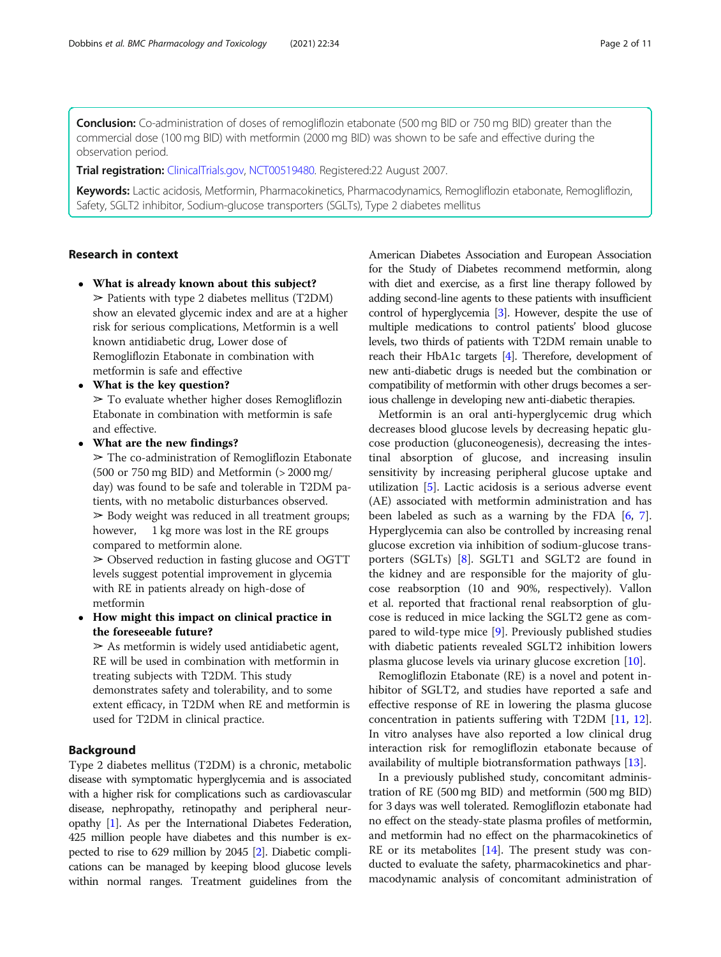**Conclusion:** Co-administration of doses of remogliflozin etabonate (500 mg BID or 750 mg BID) greater than the commercial dose (100 mg BID) with metformin (2000 mg BID) was shown to be safe and effective during the observation period.

Trial registration: [ClinicalTrials.gov,](http://clinicaltrials.gov) [NCT00519480.](https://clinicaltrials.gov/ct2/show/NCT00519480) Registered:22 August 2007.

Keywords: Lactic acidosis, Metformin, Pharmacokinetics, Pharmacodynamics, Remogliflozin etabonate, Remogliflozin, Safety, SGLT2 inhibitor, Sodium-glucose transporters (SGLTs), Type 2 diabetes mellitus

# Research in context

- What is already known about this subject?  $\geq$  Patients with type 2 diabetes mellitus (T2DM) show an elevated glycemic index and are at a higher risk for serious complications, Metformin is a well known antidiabetic drug, Lower dose of Remogliflozin Etabonate in combination with metformin is safe and effective
- What is the key question?  $\geq$  To evaluate whether higher doses Remogliflozin Etabonate in combination with metformin is safe and effective.
- What are the new findings?

 $\geq$  The co-administration of Remogliflozin Etabonate (500 or 750 mg BID) and Metformin (> 2000 mg/ day) was found to be safe and tolerable in T2DM patients, with no metabolic disturbances observed.  $\geq$  Body weight was reduced in all treatment groups; however, 1 kg more was lost in the RE groups compared to metformin alone.

➢ Observed reduction in fasting glucose and OGTT levels suggest potential improvement in glycemia with RE in patients already on high-dose of metformin

 How might this impact on clinical practice in the foreseeable future?

 $\geq$  As metformin is widely used antidiabetic agent, RE will be used in combination with metformin in treating subjects with T2DM. This study demonstrates safety and tolerability, and to some extent efficacy, in T2DM when RE and metformin is used for T2DM in clinical practice.

# Background

Type 2 diabetes mellitus (T2DM) is a chronic, metabolic disease with symptomatic hyperglycemia and is associated with a higher risk for complications such as cardiovascular disease, nephropathy, retinopathy and peripheral neuropathy [[1](#page-10-0)]. As per the International Diabetes Federation, 425 million people have diabetes and this number is expected to rise to 629 million by 2045 [\[2](#page-10-0)]. Diabetic complications can be managed by keeping blood glucose levels within normal ranges. Treatment guidelines from the American Diabetes Association and European Association for the Study of Diabetes recommend metformin, along with diet and exercise, as a first line therapy followed by adding second-line agents to these patients with insufficient control of hyperglycemia [\[3](#page-10-0)]. However, despite the use of multiple medications to control patients' blood glucose levels, two thirds of patients with T2DM remain unable to reach their HbA1c targets [[4](#page-10-0)]. Therefore, development of new anti-diabetic drugs is needed but the combination or compatibility of metformin with other drugs becomes a serious challenge in developing new anti-diabetic therapies.

Metformin is an oral anti-hyperglycemic drug which decreases blood glucose levels by decreasing hepatic glucose production (gluconeogenesis), decreasing the intestinal absorption of glucose, and increasing insulin sensitivity by increasing peripheral glucose uptake and utilization [[5\]](#page-10-0). Lactic acidosis is a serious adverse event (AE) associated with metformin administration and has been labeled as such as a warning by the FDA  $[6, 7]$  $[6, 7]$  $[6, 7]$  $[6, 7]$  $[6, 7]$ . Hyperglycemia can also be controlled by increasing renal glucose excretion via inhibition of sodium-glucose transporters (SGLTs) [\[8](#page-10-0)]. SGLT1 and SGLT2 are found in the kidney and are responsible for the majority of glucose reabsorption (10 and 90%, respectively). Vallon et al. reported that fractional renal reabsorption of glucose is reduced in mice lacking the SGLT2 gene as compared to wild-type mice [\[9](#page-10-0)]. Previously published studies with diabetic patients revealed SGLT2 inhibition lowers plasma glucose levels via urinary glucose excretion [[10](#page-10-0)].

Remogliflozin Etabonate (RE) is a novel and potent inhibitor of SGLT2, and studies have reported a safe and effective response of RE in lowering the plasma glucose concentration in patients suffering with T2DM [[11,](#page-10-0) [12](#page-10-0)]. In vitro analyses have also reported a low clinical drug interaction risk for remogliflozin etabonate because of availability of multiple biotransformation pathways [[13\]](#page-10-0).

In a previously published study, concomitant administration of RE (500 mg BID) and metformin (500 mg BID) for 3 days was well tolerated. Remogliflozin etabonate had no effect on the steady-state plasma profiles of metformin, and metformin had no effect on the pharmacokinetics of RE or its metabolites [\[14\]](#page-10-0). The present study was conducted to evaluate the safety, pharmacokinetics and pharmacodynamic analysis of concomitant administration of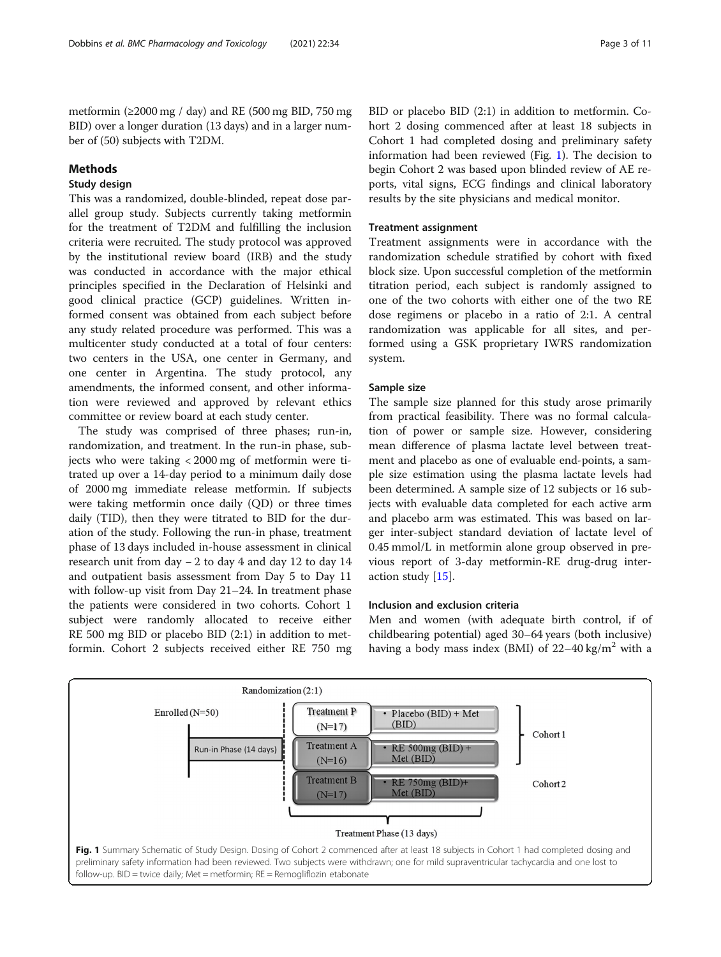metformin ( $\geq$ 2000 mg / day) and RE (500 mg BID, 750 mg BID) over a longer duration (13 days) and in a larger number of (50) subjects with T2DM.

# Methods

# Study design

This was a randomized, double-blinded, repeat dose parallel group study. Subjects currently taking metformin for the treatment of T2DM and fulfilling the inclusion criteria were recruited. The study protocol was approved by the institutional review board (IRB) and the study was conducted in accordance with the major ethical principles specified in the Declaration of Helsinki and good clinical practice (GCP) guidelines. Written informed consent was obtained from each subject before any study related procedure was performed. This was a multicenter study conducted at a total of four centers: two centers in the USA, one center in Germany, and one center in Argentina. The study protocol, any amendments, the informed consent, and other information were reviewed and approved by relevant ethics committee or review board at each study center.

The study was comprised of three phases; run-in, randomization, and treatment. In the run-in phase, subjects who were taking < 2000 mg of metformin were titrated up over a 14-day period to a minimum daily dose of 2000 mg immediate release metformin. If subjects were taking metformin once daily (QD) or three times daily (TID), then they were titrated to BID for the duration of the study. Following the run-in phase, treatment phase of 13 days included in-house assessment in clinical research unit from day − 2 to day 4 and day 12 to day 14 and outpatient basis assessment from Day 5 to Day 11 with follow-up visit from Day 21–24. In treatment phase the patients were considered in two cohorts. Cohort 1 subject were randomly allocated to receive either RE 500 mg BID or placebo BID (2:1) in addition to metformin. Cohort 2 subjects received either RE 750 mg

BID or placebo BID (2:1) in addition to metformin. Cohort 2 dosing commenced after at least 18 subjects in Cohort 1 had completed dosing and preliminary safety information had been reviewed (Fig. 1). The decision to begin Cohort 2 was based upon blinded review of AE reports, vital signs, ECG findings and clinical laboratory results by the site physicians and medical monitor.

#### Treatment assignment

Treatment assignments were in accordance with the randomization schedule stratified by cohort with fixed block size. Upon successful completion of the metformin titration period, each subject is randomly assigned to one of the two cohorts with either one of the two RE dose regimens or placebo in a ratio of 2:1. A central randomization was applicable for all sites, and performed using a GSK proprietary IWRS randomization system.

### Sample size

The sample size planned for this study arose primarily from practical feasibility. There was no formal calculation of power or sample size. However, considering mean difference of plasma lactate level between treatment and placebo as one of evaluable end-points, a sample size estimation using the plasma lactate levels had been determined. A sample size of 12 subjects or 16 subjects with evaluable data completed for each active arm and placebo arm was estimated. This was based on larger inter-subject standard deviation of lactate level of 0.45 mmol/L in metformin alone group observed in previous report of 3-day metformin-RE drug-drug interaction study [[15\]](#page-10-0).

#### Inclusion and exclusion criteria

Men and women (with adequate birth control, if of childbearing potential) aged 30–64 years (both inclusive) having a body mass index (BMI) of  $22-40 \text{ kg/m}^2$  with a

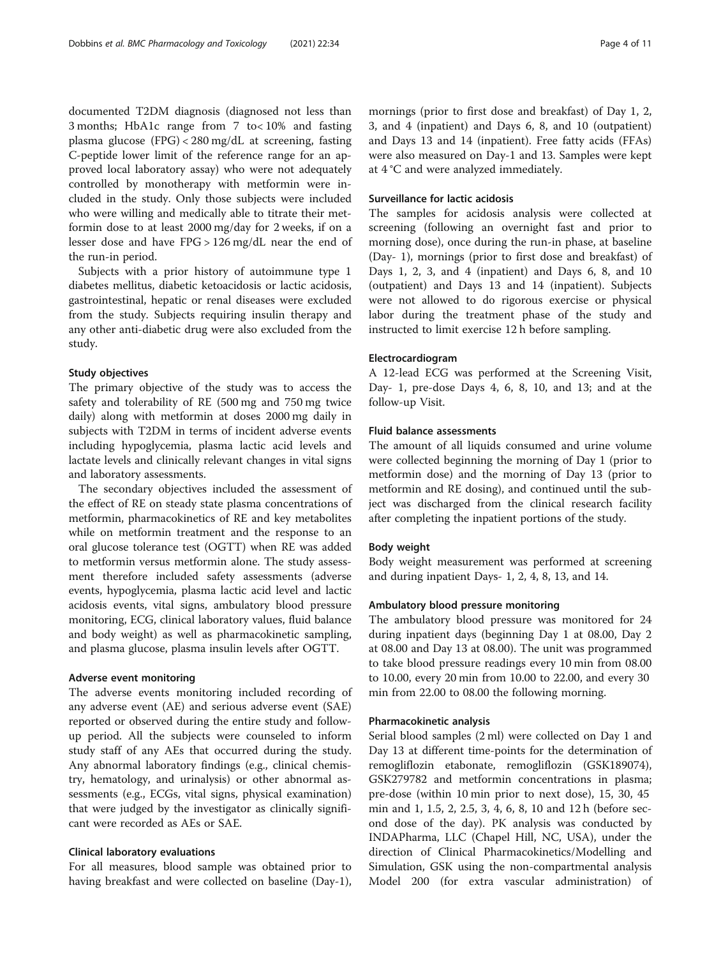documented T2DM diagnosis (diagnosed not less than 3 months; HbA1c range from 7 to< 10% and fasting plasma glucose (FPG) < 280 mg/dL at screening, fasting C-peptide lower limit of the reference range for an approved local laboratory assay) who were not adequately controlled by monotherapy with metformin were included in the study. Only those subjects were included who were willing and medically able to titrate their metformin dose to at least 2000 mg/day for 2 weeks, if on a lesser dose and have FPG > 126 mg/dL near the end of the run-in period.

Subjects with a prior history of autoimmune type 1 diabetes mellitus, diabetic ketoacidosis or lactic acidosis, gastrointestinal, hepatic or renal diseases were excluded from the study. Subjects requiring insulin therapy and any other anti-diabetic drug were also excluded from the study.

#### Study objectives

The primary objective of the study was to access the safety and tolerability of RE (500 mg and 750 mg twice daily) along with metformin at doses 2000 mg daily in subjects with T2DM in terms of incident adverse events including hypoglycemia, plasma lactic acid levels and lactate levels and clinically relevant changes in vital signs and laboratory assessments.

The secondary objectives included the assessment of the effect of RE on steady state plasma concentrations of metformin, pharmacokinetics of RE and key metabolites while on metformin treatment and the response to an oral glucose tolerance test (OGTT) when RE was added to metformin versus metformin alone. The study assessment therefore included safety assessments (adverse events, hypoglycemia, plasma lactic acid level and lactic acidosis events, vital signs, ambulatory blood pressure monitoring, ECG, clinical laboratory values, fluid balance and body weight) as well as pharmacokinetic sampling, and plasma glucose, plasma insulin levels after OGTT.

#### Adverse event monitoring

The adverse events monitoring included recording of any adverse event (AE) and serious adverse event (SAE) reported or observed during the entire study and followup period. All the subjects were counseled to inform study staff of any AEs that occurred during the study. Any abnormal laboratory findings (e.g., clinical chemistry, hematology, and urinalysis) or other abnormal assessments (e.g., ECGs, vital signs, physical examination) that were judged by the investigator as clinically significant were recorded as AEs or SAE.

#### Clinical laboratory evaluations

For all measures, blood sample was obtained prior to having breakfast and were collected on baseline (Day-1), mornings (prior to first dose and breakfast) of Day 1, 2, 3, and 4 (inpatient) and Days 6, 8, and 10 (outpatient) and Days 13 and 14 (inpatient). Free fatty acids (FFAs) were also measured on Day-1 and 13. Samples were kept at 4 °C and were analyzed immediately.

# Surveillance for lactic acidosis

The samples for acidosis analysis were collected at screening (following an overnight fast and prior to morning dose), once during the run-in phase, at baseline (Day- 1), mornings (prior to first dose and breakfast) of Days 1, 2, 3, and 4 (inpatient) and Days 6, 8, and 10 (outpatient) and Days 13 and 14 (inpatient). Subjects were not allowed to do rigorous exercise or physical labor during the treatment phase of the study and instructed to limit exercise 12 h before sampling.

## Electrocardiogram

A 12-lead ECG was performed at the Screening Visit, Day- 1, pre-dose Days 4, 6, 8, 10, and 13; and at the follow-up Visit.

#### Fluid balance assessments

The amount of all liquids consumed and urine volume were collected beginning the morning of Day 1 (prior to metformin dose) and the morning of Day 13 (prior to metformin and RE dosing), and continued until the subject was discharged from the clinical research facility after completing the inpatient portions of the study.

#### Body weight

Body weight measurement was performed at screening and during inpatient Days- 1, 2, 4, 8, 13, and 14.

#### Ambulatory blood pressure monitoring

The ambulatory blood pressure was monitored for 24 during inpatient days (beginning Day 1 at 08.00, Day 2 at 08.00 and Day 13 at 08.00). The unit was programmed to take blood pressure readings every 10 min from 08.00 to 10.00, every 20 min from 10.00 to 22.00, and every 30 min from 22.00 to 08.00 the following morning.

### Pharmacokinetic analysis

Serial blood samples (2 ml) were collected on Day 1 and Day 13 at different time-points for the determination of remogliflozin etabonate, remogliflozin (GSK189074), GSK279782 and metformin concentrations in plasma; pre-dose (within 10 min prior to next dose), 15, 30, 45 min and 1, 1.5, 2, 2.5, 3, 4, 6, 8, 10 and 12 h (before second dose of the day). PK analysis was conducted by INDAPharma, LLC (Chapel Hill, NC, USA), under the direction of Clinical Pharmacokinetics/Modelling and Simulation, GSK using the non-compartmental analysis Model 200 (for extra vascular administration) of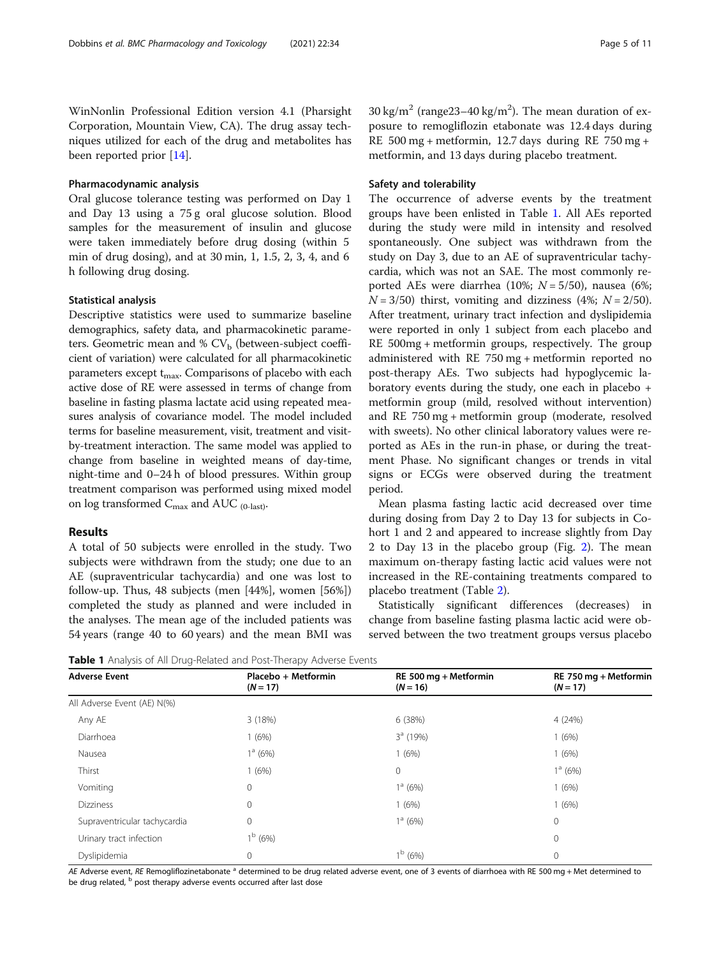WinNonlin Professional Edition version 4.1 (Pharsight Corporation, Mountain View, CA). The drug assay techniques utilized for each of the drug and metabolites has been reported prior [\[14\]](#page-10-0).

#### Pharmacodynamic analysis

Oral glucose tolerance testing was performed on Day 1 and Day 13 using a 75 g oral glucose solution. Blood samples for the measurement of insulin and glucose were taken immediately before drug dosing (within 5 min of drug dosing), and at 30 min, 1, 1.5, 2, 3, 4, and 6 h following drug dosing.

# Statistical analysis

Descriptive statistics were used to summarize baseline demographics, safety data, and pharmacokinetic parameters. Geometric mean and %  $CV_b$  (between-subject coefficient of variation) were calculated for all pharmacokinetic parameters except  $t_{\text{max}}$ . Comparisons of placebo with each active dose of RE were assessed in terms of change from baseline in fasting plasma lactate acid using repeated measures analysis of covariance model. The model included terms for baseline measurement, visit, treatment and visitby-treatment interaction. The same model was applied to change from baseline in weighted means of day-time, night-time and 0–24 h of blood pressures. Within group treatment comparison was performed using mixed model on log transformed  $C_{\text{max}}$  and AUC  $_{(0\text{-last})}$ .

#### Results

A total of 50 subjects were enrolled in the study. Two subjects were withdrawn from the study; one due to an AE (supraventricular tachycardia) and one was lost to follow-up. Thus, 48 subjects (men [44%], women [56%]) completed the study as planned and were included in the analyses. The mean age of the included patients was 54 years (range 40 to 60 years) and the mean BMI was

30 kg/m<sup>2</sup> (range23-40 kg/m<sup>2</sup>). The mean duration of exposure to remogliflozin etabonate was 12.4 days during RE 500 mg + metformin, 12.7 days during RE 750 mg + metformin, and 13 days during placebo treatment.

#### Safety and tolerability

The occurrence of adverse events by the treatment groups have been enlisted in Table 1. All AEs reported during the study were mild in intensity and resolved spontaneously. One subject was withdrawn from the study on Day 3, due to an AE of supraventricular tachycardia, which was not an SAE. The most commonly reported AEs were diarrhea (10%;  $N = 5/50$ ), nausea (6%;  $N = 3/50$ ) thirst, vomiting and dizziness (4%;  $N = 2/50$ ). After treatment, urinary tract infection and dyslipidemia were reported in only 1 subject from each placebo and RE 500mg + metformin groups, respectively. The group administered with RE 750 mg + metformin reported no post-therapy AEs. Two subjects had hypoglycemic laboratory events during the study, one each in placebo + metformin group (mild, resolved without intervention) and RE 750 mg + metformin group (moderate, resolved with sweets). No other clinical laboratory values were reported as AEs in the run-in phase, or during the treatment Phase. No significant changes or trends in vital signs or ECGs were observed during the treatment period.

Mean plasma fasting lactic acid decreased over time during dosing from Day 2 to Day 13 for subjects in Cohort 1 and 2 and appeared to increase slightly from Day 2 to Day 13 in the placebo group (Fig. [2](#page-5-0)). The mean maximum on-therapy fasting lactic acid values were not increased in the RE-containing treatments compared to placebo treatment (Table [2\)](#page-6-0).

Statistically significant differences (decreases) in change from baseline fasting plasma lactic acid were observed between the two treatment groups versus placebo

Table 1 Analysis of All Drug-Related and Post-Therapy Adverse Events

| <b>Adverse Event</b>         | Placebo + Metformin<br>$(N = 17)$ | RE 500 mg + Metformin<br>$(N = 16)$ | RE 750 mg + Metformin<br>$(N = 17)$ |
|------------------------------|-----------------------------------|-------------------------------------|-------------------------------------|
| All Adverse Event (AE) N(%)  |                                   |                                     |                                     |
| Any AE                       | 3 (18%)                           | 6 (38%)                             | 4(24%)                              |
| Diarrhoea                    | 1(6%)                             | $3a$ (19%)                          | 1(6%)                               |
| Nausea                       | $1^a$ (6%)                        | 1(6%)                               | 1(6%)                               |
| Thirst                       | 1(6%)                             | $\mathbf 0$                         | $1^a$ (6%)                          |
| Vomiting                     | $\mathbf{0}$                      | $1^a$ (6%)                          | 1(6%)                               |
| <b>Dizziness</b>             | $\mathbf{0}$                      | 1(6%)                               | 1(6%)                               |
| Supraventricular tachycardia | $\circ$                           | $1^a$ (6%)                          | 0                                   |
| Urinary tract infection      | $1^{\rm b}$ (6%)                  |                                     | 0                                   |
| Dyslipidemia                 | $\mathbf{0}$                      | $1^{\rm b}$ (6%)                    | 0                                   |

AE Adverse event, RE Remogliflozinetabonate <sup>a</sup> determined to be drug related adverse event, one of 3 events of diarrhoea with RE 500 mg + Met determined to be drug related, <sup>b</sup> post therapy adverse events occurred after last dose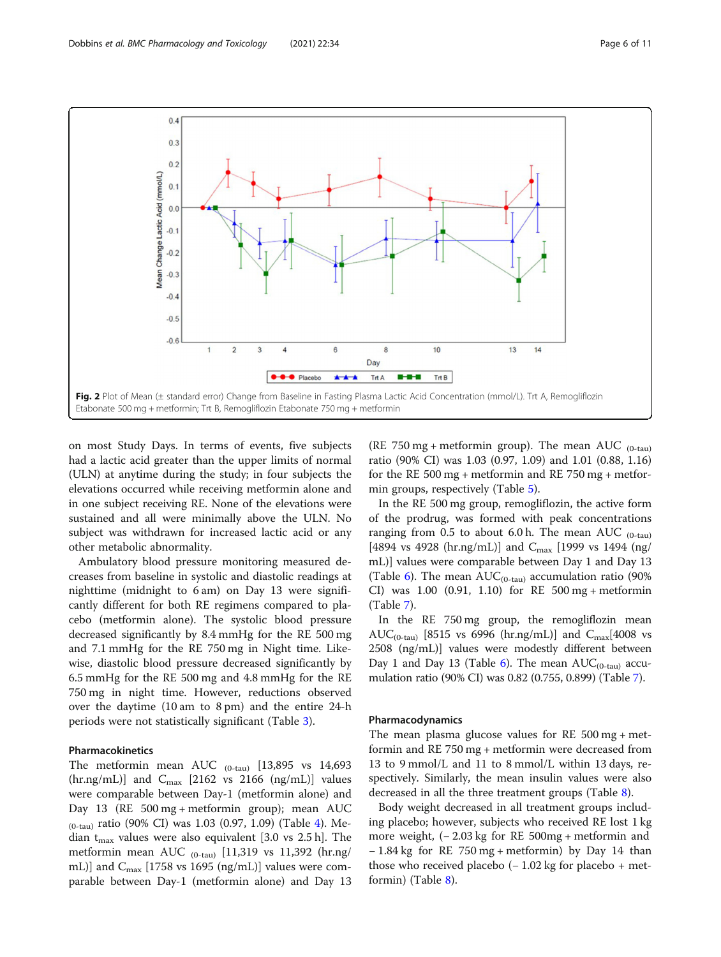<span id="page-5-0"></span>

on most Study Days. In terms of events, five subjects had a lactic acid greater than the upper limits of normal (ULN) at anytime during the study; in four subjects the elevations occurred while receiving metformin alone and in one subject receiving RE. None of the elevations were sustained and all were minimally above the ULN. No subject was withdrawn for increased lactic acid or any other metabolic abnormality.

Ambulatory blood pressure monitoring measured decreases from baseline in systolic and diastolic readings at nighttime (midnight to 6 am) on Day 13 were significantly different for both RE regimens compared to placebo (metformin alone). The systolic blood pressure decreased significantly by 8.4 mmHg for the RE 500 mg and 7.1 mmHg for the RE 750 mg in Night time. Likewise, diastolic blood pressure decreased significantly by 6.5 mmHg for the RE 500 mg and 4.8 mmHg for the RE 750 mg in night time. However, reductions observed over the daytime (10 am to 8 pm) and the entire 24-h periods were not statistically significant (Table [3](#page-6-0)).

# Pharmacokinetics

The metformin mean AUC  $_{(0-tau)}$  [13,895 vs 14,693]  $(hr.ng/mL)$ ] and  $C<sub>max</sub>$  [2162 vs 2166 (ng/mL)] values were comparable between Day-1 (metformin alone) and Day 13 (RE 500 mg + metformin group); mean AUC  $_{(0-tau)}$  ratio (90% CI) was 1.03 (0.97, 1.09) (Table [4\)](#page-7-0). Median  $t_{\text{max}}$  values were also equivalent [3.0 vs 2.5 h]. The metformin mean AUC  $_{(0-tau)}$  [11,319 vs 11,392 (hr.ng/ mL)] and  $C_{\text{max}}$  [1758 vs 1695 (ng/mL)] values were comparable between Day-1 (metformin alone) and Day 13

(RE 750 mg + metformin group). The mean AUC  $_{(0-tau)}$ ratio (90% CI) was 1.03 (0.97, 1.09) and 1.01 (0.88, 1.16) for the RE 500 mg + metformin and RE 750 mg + metformin groups, respectively (Table [5](#page-7-0)).

In the RE 500 mg group, remogliflozin, the active form of the prodrug, was formed with peak concentrations ranging from 0.5 to about 6.0 h. The mean AUC  $_{(0-tau)}$ [4894 vs 4928 (hr.ng/mL)] and  $C_{\text{max}}$  [1999 vs 1494 (ng/ mL)] values were comparable between Day 1 and Day 13 (Table [6](#page-8-0)). The mean  $AUC_{(0-tau)}$  accumulation ratio (90%) CI) was 1.00 (0.91, 1.10) for RE 500 mg + metformin (Table [7\)](#page-8-0).

In the RE 750 mg group, the remogliflozin mean AUC<sub>(0-tau)</sub> [8515 vs 6996 (hr.ng/mL)] and  $C_{\text{max}}$ [4008 vs 2508 (ng/mL)] values were modestly different between Day 1 and Day 13 (Table [6](#page-8-0)). The mean  $AUC_{(0-tau)}$  accumulation ratio (90% CI) was 0.82 (0.755, 0.899) (Table [7\)](#page-8-0).

#### Pharmacodynamics

The mean plasma glucose values for RE 500 mg + metformin and RE 750 mg + metformin were decreased from 13 to 9 mmol/L and 11 to 8 mmol/L within 13 days, respectively. Similarly, the mean insulin values were also decreased in all the three treatment groups (Table [8](#page-9-0)).

Body weight decreased in all treatment groups including placebo; however, subjects who received RE lost 1 kg more weight, (− 2.03 kg for RE 500mg + metformin and − 1.84 kg for RE 750 mg + metformin) by Day 14 than those who received placebo  $(-1.02 \text{ kg}$  for placebo + metformin) (Table [8\)](#page-9-0).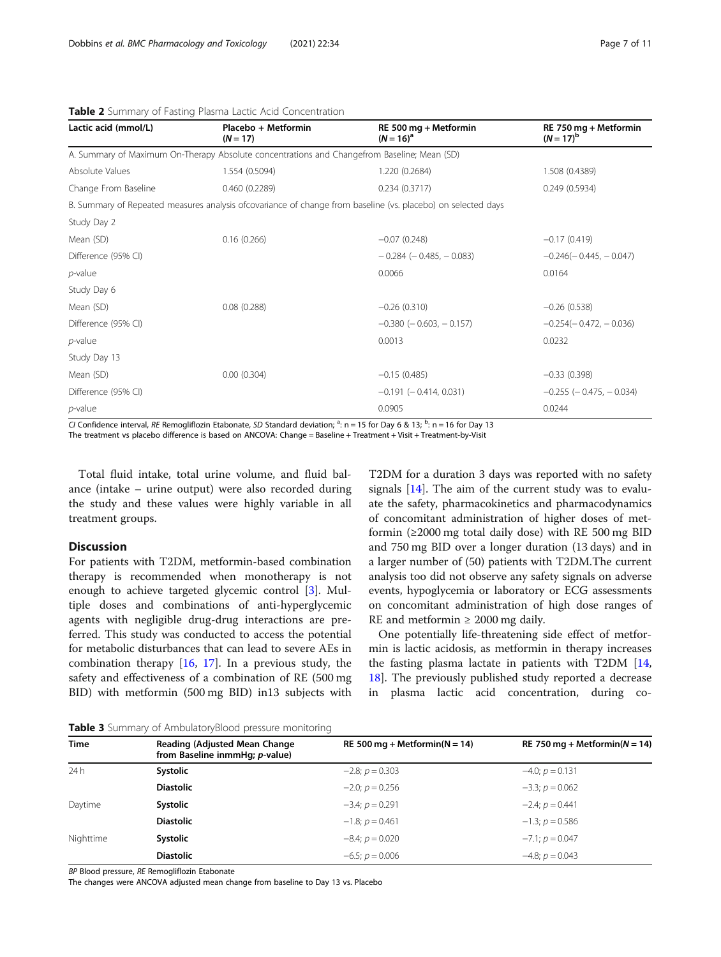| Lactic acid (mmol/L)                                                                        | Placebo + Metformin<br>$(N = 17)$ | RE 500 mg + Metformin<br>$(N = 16)^a$                                                                         | RE 750 mg + Metformin<br>$(N = 17)^{b}$ |  |  |  |
|---------------------------------------------------------------------------------------------|-----------------------------------|---------------------------------------------------------------------------------------------------------------|-----------------------------------------|--|--|--|
| A. Summary of Maximum On-Therapy Absolute concentrations and Changefrom Baseline; Mean (SD) |                                   |                                                                                                               |                                         |  |  |  |
| Absolute Values                                                                             | 1.554 (0.5094)                    | 1.220 (0.2684)                                                                                                | 1.508 (0.4389)                          |  |  |  |
| Change From Baseline                                                                        | 0.460(0.2289)                     | 0.234(0.3717)                                                                                                 | 0.249(0.5934)                           |  |  |  |
|                                                                                             |                                   | B. Summary of Repeated measures analysis of covariance of change from baseline (vs. placebo) on selected days |                                         |  |  |  |
| Study Day 2                                                                                 |                                   |                                                                                                               |                                         |  |  |  |
| Mean (SD)                                                                                   | 0.16(0.266)                       | $-0.07(0.248)$                                                                                                | $-0.17(0.419)$                          |  |  |  |
| Difference (95% CI)                                                                         |                                   | $-0.284$ ( $-0.485$ , $-0.083$ )                                                                              | $-0.246(-0.445, -0.047)$                |  |  |  |
| $p$ -value                                                                                  |                                   | 0.0066                                                                                                        | 0.0164                                  |  |  |  |
| Study Day 6                                                                                 |                                   |                                                                                                               |                                         |  |  |  |
| Mean (SD)                                                                                   | 0.08(0.288)                       | $-0.26(0.310)$                                                                                                | $-0.26(0.538)$                          |  |  |  |
| Difference (95% CI)                                                                         |                                   | $-0.380$ ( $-0.603$ , $-0.157$ )                                                                              | $-0.254(-0.472, -0.036)$                |  |  |  |
| $p$ -value                                                                                  |                                   | 0.0013                                                                                                        | 0.0232                                  |  |  |  |
| Study Day 13                                                                                |                                   |                                                                                                               |                                         |  |  |  |
| Mean (SD)                                                                                   | 0.00(0.304)                       | $-0.15(0.485)$                                                                                                | $-0.33(0.398)$                          |  |  |  |
| Difference (95% CI)                                                                         |                                   | $-0.191$ ( $-0.414$ , 0.031)                                                                                  | $-0.255$ ( $-0.475$ , $-0.034$ )        |  |  |  |
| <i>p</i> -value                                                                             |                                   | 0.0905                                                                                                        | 0.0244                                  |  |  |  |

<span id="page-6-0"></span>Table 2 Summary of Fasting Plasma Lactic Acid Concentration

CI Confidence interval, RE Remogliflozin Etabonate, SD Standard deviation;  $a: n = 15$  for Day 6 & 13;  $b: n = 16$  for Day 13

The treatment vs placebo difference is based on ANCOVA: Change = Baseline + Treatment + Visit + Treatment-by-Visit

Total fluid intake, total urine volume, and fluid balance (intake – urine output) were also recorded during the study and these values were highly variable in all treatment groups.

# Discussion

For patients with T2DM, metformin-based combination therapy is recommended when monotherapy is not enough to achieve targeted glycemic control [[3\]](#page-10-0). Multiple doses and combinations of anti-hyperglycemic agents with negligible drug-drug interactions are preferred. This study was conducted to access the potential for metabolic disturbances that can lead to severe AEs in combination therapy [\[16,](#page-10-0) [17\]](#page-10-0). In a previous study, the safety and effectiveness of a combination of RE (500 mg BID) with metformin (500 mg BID) in13 subjects with T2DM for a duration 3 days was reported with no safety signals [[14\]](#page-10-0). The aim of the current study was to evaluate the safety, pharmacokinetics and pharmacodynamics of concomitant administration of higher doses of metformin  $(≥2000$  mg total daily dose) with RE 500 mg BID and 750 mg BID over a longer duration (13 days) and in a larger number of (50) patients with T2DM.The current analysis too did not observe any safety signals on adverse events, hypoglycemia or laboratory or ECG assessments on concomitant administration of high dose ranges of RE and metformin  $\geq 2000$  mg daily.

One potentially life-threatening side effect of metformin is lactic acidosis, as metformin in therapy increases the fasting plasma lactate in patients with T2DM [[14](#page-10-0), [18\]](#page-10-0). The previously published study reported a decrease in plasma lactic acid concentration, during co-

**Table 3** Summary of AmbulatoryBlood pressure monitoring

| <b>Reading (Adjusted Mean Change)</b><br>from Baseline inmmHg; p-value) | RE 500 mg + Metformin( $N = 14$ ) | RE 750 mg + Metformin( $N = 14$ ) |  |  |
|-------------------------------------------------------------------------|-----------------------------------|-----------------------------------|--|--|
| Systolic                                                                | $-2.8; p = 0.303$                 | $-4.0; p = 0.131$                 |  |  |
| <b>Diastolic</b>                                                        | $-2.0; p = 0.256$                 | $-3.3; p = 0.062$                 |  |  |
| Systolic                                                                | $-3.4; p = 0.291$                 | $-2.4$ ; $p = 0.441$              |  |  |
| <b>Diastolic</b>                                                        | $-1.8; p = 0.461$                 | $-1.3$ ; $p = 0.586$              |  |  |
| Systolic                                                                | $-8.4; p = 0.020$                 | $-7.1$ ; $p = 0.047$              |  |  |
| <b>Diastolic</b>                                                        | $-6.5; p = 0.006$                 | $-4.8; p = 0.043$                 |  |  |
|                                                                         |                                   |                                   |  |  |

BP Blood pressure, RE Remogliflozin Etabonate

The changes were ANCOVA adjusted mean change from baseline to Day 13 vs. Placebo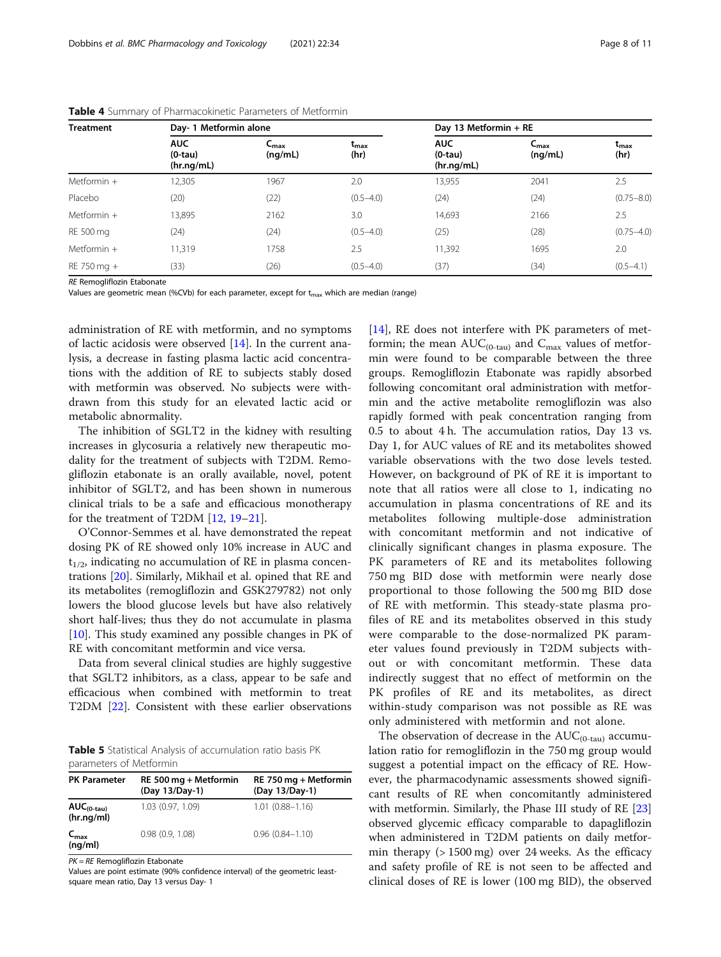| <b>Treatment</b> |                                       | Day- 1 Metformin alone      |                       |                                       | Day 13 Metformin + RE       |                       |  |
|------------------|---------------------------------------|-----------------------------|-----------------------|---------------------------------------|-----------------------------|-----------------------|--|
|                  | <b>AUC</b><br>$(0-tau)$<br>(hr.nq/mL) | $C_{\text{max}}$<br>(nq/mL) | $t_{\rm max}$<br>(hr) | <b>AUC</b><br>$(0-tau)$<br>(hr.ng/mL) | $C_{\text{max}}$<br>(nq/mL) | $t_{\rm max}$<br>(hr) |  |
| Metformin $+$    | 12,305                                | 1967                        | 2.0                   | 13,955                                | 2041                        | 2.5                   |  |
| Placebo          | (20)                                  | (22)                        | $(0.5 - 4.0)$         | (24)                                  | (24)                        | $(0.75 - 8.0)$        |  |
| Metformin $+$    | 13,895                                | 2162                        | 3.0                   | 14,693                                | 2166                        | 2.5                   |  |
| RE 500 mg        | (24)                                  | (24)                        | $(0.5 - 4.0)$         | (25)                                  | (28)                        | $(0.75 - 4.0)$        |  |
| Metformin $+$    | 11,319                                | 1758                        | 2.5                   | 11,392                                | 1695                        | 2.0                   |  |
| RE 750 mg +      | (33)                                  | (26)                        | $(0.5 - 4.0)$         | (37)                                  | (34)                        | $(0.5 - 4.1)$         |  |

<span id="page-7-0"></span>Table 4 Summary of Pharmacokinetic Parameters of Metformin

RE Remogliflozin Etabonate

Values are geometric mean (%CVb) for each parameter, except for  $t_{max}$  which are median (range)

administration of RE with metformin, and no symptoms of lactic acidosis were observed [[14\]](#page-10-0). In the current analysis, a decrease in fasting plasma lactic acid concentrations with the addition of RE to subjects stably dosed with metformin was observed. No subjects were withdrawn from this study for an elevated lactic acid or metabolic abnormality.

The inhibition of SGLT2 in the kidney with resulting increases in glycosuria a relatively new therapeutic modality for the treatment of subjects with T2DM. Remogliflozin etabonate is an orally available, novel, potent inhibitor of SGLT2, and has been shown in numerous clinical trials to be a safe and efficacious monotherapy for the treatment of T2DM [[12,](#page-10-0) [19](#page-10-0)–[21](#page-10-0)].

O'Connor-Semmes et al. have demonstrated the repeat dosing PK of RE showed only 10% increase in AUC and  $t_{1/2}$ , indicating no accumulation of RE in plasma concentrations [\[20](#page-10-0)]. Similarly, Mikhail et al. opined that RE and its metabolites (remogliflozin and GSK279782) not only lowers the blood glucose levels but have also relatively short half-lives; thus they do not accumulate in plasma [[10\]](#page-10-0). This study examined any possible changes in PK of RE with concomitant metformin and vice versa.

Data from several clinical studies are highly suggestive that SGLT2 inhibitors, as a class, appear to be safe and efficacious when combined with metformin to treat T2DM [\[22](#page-10-0)]. Consistent with these earlier observations

Table 5 Statistical Analysis of accumulation ratio basis PK parameters of Metformin

| <b>PK Parameter</b>         | RE 500 mg + Metformin<br>(Day 13/Day-1) | RE 750 mg + Metformin<br>(Day 13/Day-1) |
|-----------------------------|-----------------------------------------|-----------------------------------------|
| $AUC(0-tau)$<br>(hr.ng/ml)  | 1.03 (0.97, 1.09)                       | $1.01(0.88 - 1.16)$                     |
| $C_{\text{max}}$<br>(nq/ml) | 0.98(0.9, 1.08)                         | $0.96(0.84 - 1.10)$                     |

 $PK = RE$  Remogliflozin Etabonate

Values are point estimate (90% confidence interval) of the geometric leastsquare mean ratio, Day 13 versus Day- 1

[[14\]](#page-10-0), RE does not interfere with PK parameters of metformin; the mean  $AUC_{(0-tau)}$  and  $C_{max}$  values of metformin were found to be comparable between the three groups. Remogliflozin Etabonate was rapidly absorbed following concomitant oral administration with metformin and the active metabolite remogliflozin was also rapidly formed with peak concentration ranging from 0.5 to about 4 h. The accumulation ratios, Day 13 vs. Day 1, for AUC values of RE and its metabolites showed variable observations with the two dose levels tested. However, on background of PK of RE it is important to note that all ratios were all close to 1, indicating no accumulation in plasma concentrations of RE and its metabolites following multiple-dose administration with concomitant metformin and not indicative of clinically significant changes in plasma exposure. The PK parameters of RE and its metabolites following 750 mg BID dose with metformin were nearly dose proportional to those following the 500 mg BID dose of RE with metformin. This steady-state plasma profiles of RE and its metabolites observed in this study were comparable to the dose-normalized PK parameter values found previously in T2DM subjects without or with concomitant metformin. These data indirectly suggest that no effect of metformin on the PK profiles of RE and its metabolites, as direct within-study comparison was not possible as RE was only administered with metformin and not alone.

The observation of decrease in the  $AUC_{(0-tau)}$  accumulation ratio for remogliflozin in the 750 mg group would suggest a potential impact on the efficacy of RE. However, the pharmacodynamic assessments showed significant results of RE when concomitantly administered with metformin. Similarly, the Phase III study of RE [[23](#page-10-0)] observed glycemic efficacy comparable to dapagliflozin when administered in T2DM patients on daily metformin therapy (> 1500 mg) over 24 weeks. As the efficacy and safety profile of RE is not seen to be affected and clinical doses of RE is lower (100 mg BID), the observed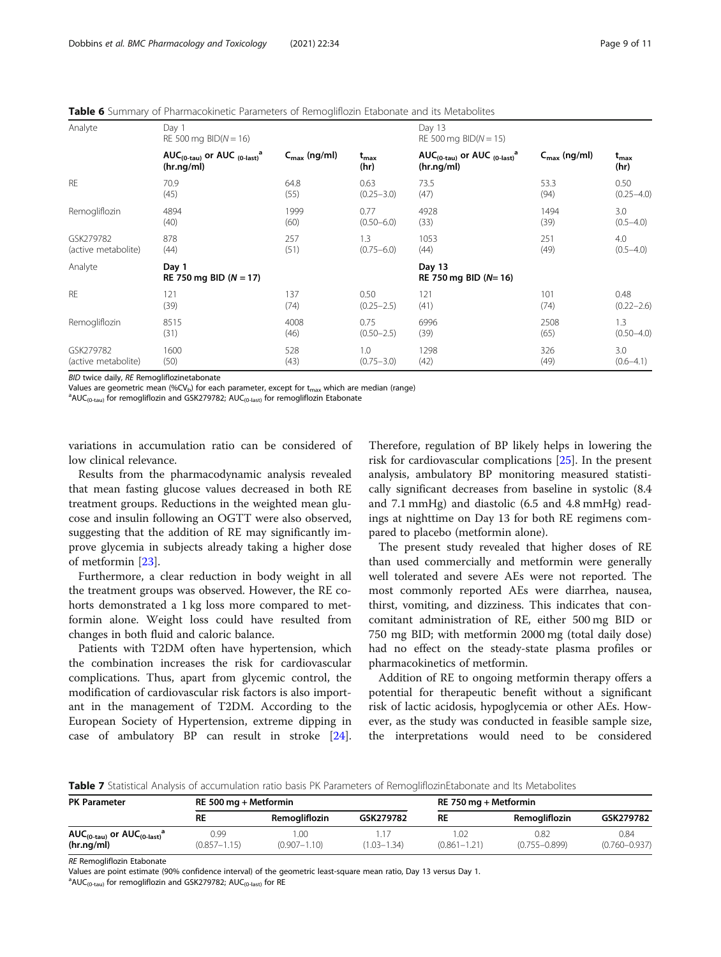<span id="page-8-0"></span>Table 6 Summary of Pharmacokinetic Parameters of Remogliflozin Etabonate and its Metabolites

| Analyte             | Day 1<br>RE 500 mg $BID(N = 16)$                                 |                          |                                  | Day 13<br>RE 500 mg $BID(N = 15)$                                             |                          |                       |
|---------------------|------------------------------------------------------------------|--------------------------|----------------------------------|-------------------------------------------------------------------------------|--------------------------|-----------------------|
|                     | AUC( $_{0$ -tau) or AUC $_{(0$ -last) <sup>a</sup><br>(hr.ng/ml) | $C_{\text{max}}$ (ng/ml) | $t_{\rm max}$<br>(hr)            | AUC <sub>(0-tau)</sub> or AUC $_{(0\text{-last})}$ <sup>a</sup><br>(hr.ng/ml) | $C_{\text{max}}$ (ng/ml) | $t_{\rm max}$<br>(hr) |
| <b>RE</b>           | 70.9                                                             | 64.8                     | 0.63                             | 73.5                                                                          | 53.3                     | 0.50                  |
|                     | (45)                                                             | (55)                     | $(0.25 - 3.0)$                   | (47)                                                                          | (94)                     | $(0.25 - 4.0)$        |
| Remogliflozin       | 4894                                                             | 1999                     | 0.77                             | 4928                                                                          | 1494                     | 3.0                   |
|                     | (40)                                                             | (60)                     | $(0.50 - 6.0)$                   | (33)                                                                          | (39)                     | $(0.5 - 4.0)$         |
| GSK279782           | 878                                                              | 257                      | 1.3                              | 1053                                                                          | 251                      | 4.0                   |
| (active metabolite) | (44)                                                             | (51)                     | $(0.75 - 6.0)$                   | (44)                                                                          | (49)                     | $(0.5 - 4.0)$         |
| Analyte             | Day 1<br>RE 750 mg BID ( $N = 17$ )                              |                          | Day 13<br>RE 750 mg BID $(N=16)$ |                                                                               |                          |                       |
| <b>RE</b>           | 121                                                              | 137                      | 0.50                             | 121                                                                           | 101                      | 0.48                  |
|                     | (39)                                                             | (74)                     | $(0.25 - 2.5)$                   | (41)                                                                          | (74)                     | $(0.22 - 2.6)$        |
| Remogliflozin       | 8515                                                             | 4008                     | 0.75                             | 6996                                                                          | 2508                     | 1.3                   |
|                     | (31)                                                             | (46)                     | $(0.50 - 2.5)$                   | (39)                                                                          | (65)                     | $(0.50 - 4.0)$        |
| GSK279782           | 1600                                                             | 528                      | 1.0                              | 1298                                                                          | 326                      | 3.0                   |
| (active metabolite) | (50)                                                             | (43)                     | $(0.75 - 3.0)$                   | (42)                                                                          | (49)                     | $(0.6 - 4.1)$         |

BID twice daily, RE Remogliflozinetabonate

Values are geometric mean (%CV<sub>b</sub>) for each parameter, except for  $t_{max}$  which are median (range)

 $AUC_{(0-tau)}$  for remogliflozin and GSK279782; AUC<sub>(0-last)</sub> for remogliflozin Etabonate

variations in accumulation ratio can be considered of low clinical relevance.

Results from the pharmacodynamic analysis revealed that mean fasting glucose values decreased in both RE treatment groups. Reductions in the weighted mean glucose and insulin following an OGTT were also observed, suggesting that the addition of RE may significantly improve glycemia in subjects already taking a higher dose of metformin [\[23](#page-10-0)].

Furthermore, a clear reduction in body weight in all the treatment groups was observed. However, the RE cohorts demonstrated a 1 kg loss more compared to metformin alone. Weight loss could have resulted from changes in both fluid and caloric balance.

Patients with T2DM often have hypertension, which the combination increases the risk for cardiovascular complications. Thus, apart from glycemic control, the modification of cardiovascular risk factors is also important in the management of T2DM. According to the European Society of Hypertension, extreme dipping in case of ambulatory BP can result in stroke [\[24](#page-10-0)]. Therefore, regulation of BP likely helps in lowering the risk for cardiovascular complications [\[25](#page-10-0)]. In the present analysis, ambulatory BP monitoring measured statistically significant decreases from baseline in systolic (8.4 and 7.1 mmHg) and diastolic (6.5 and 4.8 mmHg) readings at nighttime on Day 13 for both RE regimens compared to placebo (metformin alone).

The present study revealed that higher doses of RE than used commercially and metformin were generally well tolerated and severe AEs were not reported. The most commonly reported AEs were diarrhea, nausea, thirst, vomiting, and dizziness. This indicates that concomitant administration of RE, either 500 mg BID or 750 mg BID; with metformin 2000 mg (total daily dose) had no effect on the steady-state plasma profiles or pharmacokinetics of metformin.

Addition of RE to ongoing metformin therapy offers a potential for therapeutic benefit without a significant risk of lactic acidosis, hypoglycemia or other AEs. However, as the study was conducted in feasible sample size, the interpretations would need to be considered

Table 7 Statistical Analysis of accumulation ratio basis PK Parameters of RemogliflozinEtabonate and Its Metabolites

| <b>PK Parameter</b>                                 |                          | RE 500 mg + Metformin   |                 |                         | RE 750 mg + Metformin     |                           |  |
|-----------------------------------------------------|--------------------------|-------------------------|-----------------|-------------------------|---------------------------|---------------------------|--|
|                                                     | RE                       | Remoaliflozin           | GSK279782       | RE                      | Remoaliflozin             | GSK279782                 |  |
| $AUC_{(0-tau)}$ or $AUC_{(0-last)}^a$<br>(hr.nq/ml) | 0.99<br>$(0.857 - 1.15)$ | .00<br>$(0.907 - 1.10)$ | $(1.03 - 1.34)$ | .02<br>$(0.861 - 1.21)$ | 0.82<br>$(0.755 - 0.899)$ | 0.84<br>$(0.760 - 0.937)$ |  |

RE Remogliflozin Etabonate

Values are point estimate (90% confidence interval) of the geometric least-square mean ratio, Day 13 versus Day 1.

 $^{\text{a}}$ AUC<sub>(0-tau)</sub> for remogliflozin and GSK279782; AUC<sub>(0-last)</sub> for RE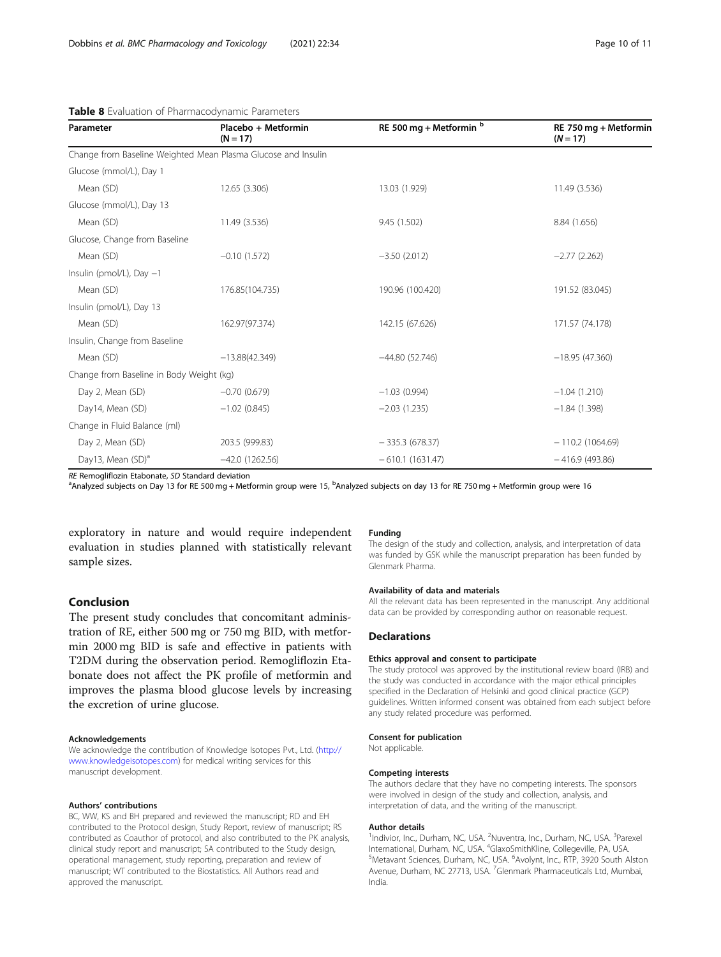<span id="page-9-0"></span>

| Table 8 Evaluation of Pharmacodynamic Parameters |
|--------------------------------------------------|
|--------------------------------------------------|

| Parameter                                | Placebo + Metformin<br>$(N = 17)$                             | RE 500 mg + Metformin b | RE 750 mg + Metformin<br>$(N = 17)$ |
|------------------------------------------|---------------------------------------------------------------|-------------------------|-------------------------------------|
|                                          | Change from Baseline Weighted Mean Plasma Glucose and Insulin |                         |                                     |
| Glucose (mmol/L), Day 1                  |                                                               |                         |                                     |
| Mean (SD)                                | 12.65 (3.306)                                                 | 13.03 (1.929)           | 11.49 (3.536)                       |
| Glucose (mmol/L), Day 13                 |                                                               |                         |                                     |
| Mean (SD)                                | 11.49 (3.536)                                                 | 9.45 (1.502)            | 8.84 (1.656)                        |
| Glucose, Change from Baseline            |                                                               |                         |                                     |
| Mean (SD)                                | $-0.10(1.572)$                                                | $-3.50(2.012)$          | $-2.77(2.262)$                      |
| Insulin (pmol/L), Day $-1$               |                                                               |                         |                                     |
| Mean (SD)                                | 176.85(104.735)                                               | 190.96 (100.420)        | 191.52 (83.045)                     |
| Insulin (pmol/L), Day 13                 |                                                               |                         |                                     |
| Mean (SD)                                | 162.97(97.374)                                                | 142.15 (67.626)         | 171.57 (74.178)                     |
| Insulin, Change from Baseline            |                                                               |                         |                                     |
| Mean (SD)                                | $-13.88(42.349)$                                              | $-44.80(52.746)$        | $-18.95(47.360)$                    |
| Change from Baseline in Body Weight (kg) |                                                               |                         |                                     |
| Day 2, Mean (SD)                         | $-0.70(0.679)$                                                | $-1.03(0.994)$          | $-1.04(1.210)$                      |
| Day14, Mean (SD)                         | $-1.02(0.845)$                                                | $-2.03(1.235)$          | $-1.84(1.398)$                      |
| Change in Fluid Balance (ml)             |                                                               |                         |                                     |
| Day 2, Mean (SD)                         | 203.5 (999.83)                                                | $-335.3(678.37)$        | $-110.2(1064.69)$                   |
| Day13, Mean (SD) <sup>a</sup>            | $-42.0(1262.56)$                                              | $-610.1(1631.47)$       | $-416.9(493.86)$                    |

RE Remogliflozin Etabonate, SD Standard deviation

Analyzed subjects on Day 13 for RE 500 mg + Metformin group were 15, <sup>b</sup>Analyzed subjects on day 13 for RE 750 mg + Metformin group were 16

exploratory in nature and would require independent evaluation in studies planned with statistically relevant sample sizes.

# Conclusion

The present study concludes that concomitant administration of RE, either 500 mg or 750 mg BID, with metformin 2000 mg BID is safe and effective in patients with T2DM during the observation period. Remogliflozin Etabonate does not affect the PK profile of metformin and improves the plasma blood glucose levels by increasing the excretion of urine glucose.

#### Acknowledgements

We acknowledge the contribution of Knowledge Isotopes Pvt., Ltd. [\(http://](http://www.knowledgeisotopes.com) [www.knowledgeisotopes.com](http://www.knowledgeisotopes.com)) for medical writing services for this manuscript development.

#### Authors' contributions

BC, WW, KS and BH prepared and reviewed the manuscript; RD and EH contributed to the Protocol design, Study Report, review of manuscript; RS contributed as Coauthor of protocol, and also contributed to the PK analysis, clinical study report and manuscript; SA contributed to the Study design, operational management, study reporting, preparation and review of manuscript; WT contributed to the Biostatistics. All Authors read and approved the manuscript.

#### Funding

The design of the study and collection, analysis, and interpretation of data was funded by GSK while the manuscript preparation has been funded by Glenmark Pharma.

#### Availability of data and materials

All the relevant data has been represented in the manuscript. Any additional data can be provided by corresponding author on reasonable request.

# Declarations

#### Ethics approval and consent to participate

The study protocol was approved by the institutional review board (IRB) and the study was conducted in accordance with the major ethical principles specified in the Declaration of Helsinki and good clinical practice (GCP) guidelines. Written informed consent was obtained from each subject before any study related procedure was performed.

#### Consent for publication

Not applicable.

#### Competing interests

The authors declare that they have no competing interests. The sponsors were involved in design of the study and collection, analysis, and interpretation of data, and the writing of the manuscript.

#### Author details

<sup>1</sup>Indivior, Inc., Durham, NC, USA. <sup>2</sup>Nuventra, Inc., Durham, NC, USA. <sup>3</sup>Parexel International, Durham, NC, USA. <sup>4</sup>GlaxoSmithKline, Collegeville, PA, USA.<br><sup>5</sup>Metavant Sciences, Durbam, NC, USA. <sup>6</sup>Avelynt, Inc., PTP, 3020 South A Metavant Sciences, Durham, NC, USA. <sup>6</sup>Avolynt, Inc., RTP, 3920 South Alston Avenue, Durham, NC 27713, USA. <sup>7</sup>Glenmark Pharmaceuticals Ltd, Mumbai India.